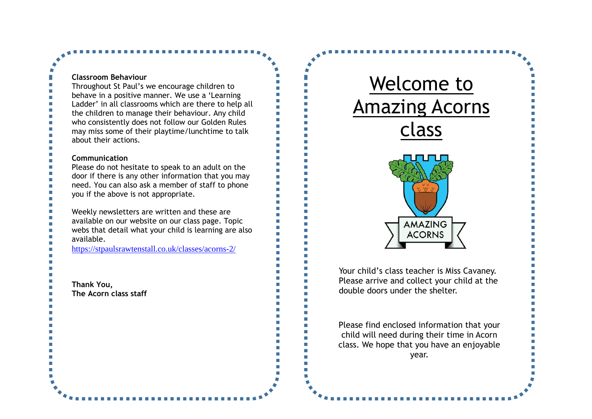### **Classroom Behaviour**

Throughout St Paul's we encourage children to behave in a positive manner. We use a 'Learning Ladder' in all classrooms which are there to help all the children to manage their behaviour. Any child who consistently does not follow our Golden Rules may miss some of their playtime/lunchtime to talk about their actions.

#### **Communication**

Please do not hesitate to speak to an adult on the door if there is any other information that you may need. You can also ask a member of staff to phone you if the above is not appropriate.

Weekly newsletters are written and these are available on our website on our class page. Topic webs that detail what your child is learning are also available.

<https://stpaulsrawtenstall.co.uk/classes/acorns-2/>

**Thank You, The Acorn class staff** 



Your child's class teacher is Miss Cavaney. Please arrive and collect your child at the double doors under the shelter.

Please find enclosed information that your child will need during their time in Acorn class. We hope that you have an enjoyable year.